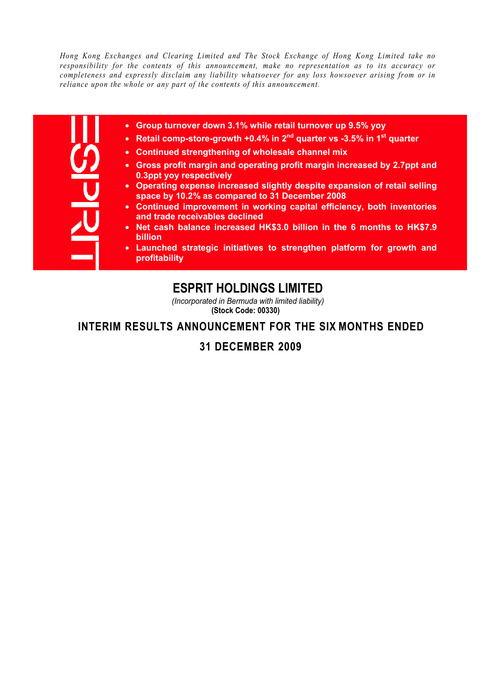*Hong Kong Exchanges and Clearing Limited and The Stock Exchange of Hong Kong Limited take no responsibility for the contents of this announcement, make no representation as to its accuracy or completeness and expressly disclaim any liability whatsoever for any loss howsoever arising from or in reliance upon the whole or any part of the contents of this announcement.* 

| I |  |
|---|--|
|   |  |
|   |  |
|   |  |

- **Group turnover down 3.1% while retail turnover up 9.5% yoy**
- **Retail comp-store-growth +0.4% in 2<sup>nd</sup> quarter vs -3.5% in 1<sup>st</sup> quarter**
- **Continued strengthening of wholesale channel mix**
- **Gross profit margin and operating profit margin increased by 2.7ppt and 0.3ppt yoy respectively**
- **Operating expense increased slightly despite expansion of retail selling space by 10.2% as compared to 31 December 2008**
- **Continued improvement in working capital efficiency, both inventories and trade receivables declined**
- **Net cash balance increased HK\$3.0 billion in the 6 months to HK\$7.9 billion**
- **Launched strategic initiatives to strengthen platform for growth and profitability**

# **ESPRIT HOLDINGS LIMITED**

*(Incorporated in Bermuda with limited liability)* **(Stock Code: 00330)**

# **INTERIM RESULTS ANNOUNCEMENT FOR THE SIX MONTHS ENDED**

# **31 DECEMBER 2009**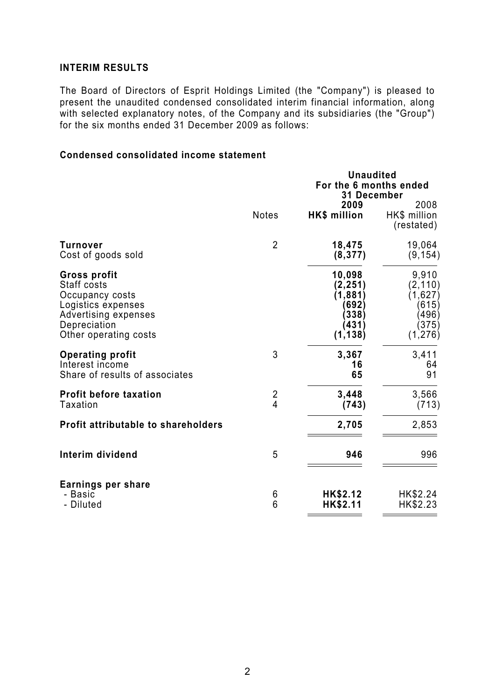# **INTERIM RESULTS**

The Board of Directors of Esprit Holdings Limited (the "Company") is pleased to present the unaudited condensed consolidated interim financial information, along with selected explanatory notes, of the Company and its subsidiaries (the "Group") for the six months ended 31 December 2009 as follows:

# **Condensed consolidated income statement**

|                                                                                                                                       |                      | <b>Unaudited</b>                                                      |                                                                     |
|---------------------------------------------------------------------------------------------------------------------------------------|----------------------|-----------------------------------------------------------------------|---------------------------------------------------------------------|
|                                                                                                                                       |                      | For the 6 months ended                                                |                                                                     |
|                                                                                                                                       |                      | <b>31 December</b>                                                    |                                                                     |
|                                                                                                                                       | <b>Notes</b>         | 2009<br>HK\$ million                                                  | 2008<br>HK\$ million<br>(restated)                                  |
| Turnover<br>Cost of goods sold                                                                                                        | $\overline{2}$       | 18,475<br>(8, 377)                                                    | 19,064<br>(9, 154)                                                  |
| Gross profit<br>Staff costs<br>Occupancy costs<br>Logistics expenses<br>Advertising expenses<br>Depreciation<br>Other operating costs |                      | 10,098<br>(2, 251)<br>(1, 881)<br>(692)<br>(338)<br>(431)<br>(1, 138) | 9,910<br>(2, 110)<br>(1,627)<br>(615)<br>(496)<br>(375)<br>(1, 276) |
| <b>Operating profit</b><br>Interest income<br>Share of results of associates                                                          | 3                    | 3,367<br>16<br>65                                                     | 3,411<br>64<br>91                                                   |
| <b>Profit before taxation</b><br><b>Taxation</b>                                                                                      | $\frac{2}{4}$        | 3,448<br>(743)                                                        | 3,566<br>(713)                                                      |
| <b>Profit attributable to shareholders</b>                                                                                            |                      | 2,705                                                                 | 2,853                                                               |
| Interim dividend                                                                                                                      | 5                    | 946                                                                   | 996                                                                 |
| Earnings per share<br>- Basic<br>- Diluted                                                                                            | 6<br>$6\phantom{1}6$ | HK\$2.12<br>HK\$2.11                                                  | HK\$2.24<br>HK\$2.23                                                |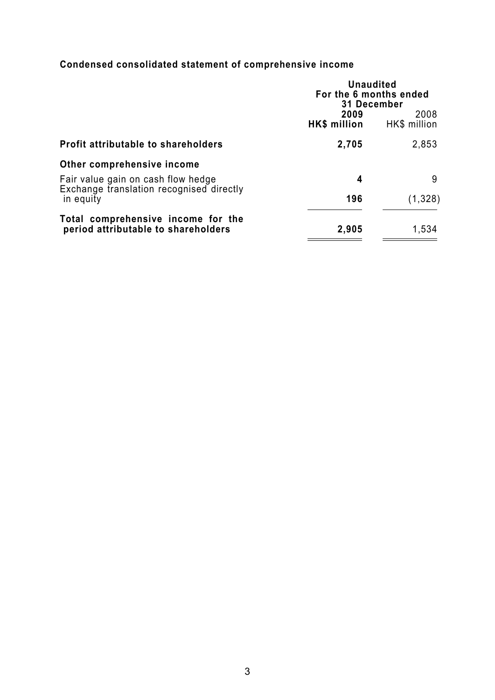# **Condensed consolidated statement of comprehensive income**

|                                                                                | <b>Unaudited</b><br>For the 6 months ended<br>31 December |                      |  |
|--------------------------------------------------------------------------------|-----------------------------------------------------------|----------------------|--|
|                                                                                | 2009<br><b>HK\$ million</b>                               | 2008<br>HK\$ million |  |
| <b>Profit attributable to shareholders</b>                                     | 2,705                                                     | 2,853                |  |
| Other comprehensive income                                                     |                                                           |                      |  |
| Fair value gain on cash flow hedge<br>Exchange translation recognised directly | 4                                                         | 9                    |  |
| in equity                                                                      | 196                                                       | (1, 328)             |  |
| Total comprehensive income for the<br>period attributable to shareholders      | 2,905                                                     | 1,534                |  |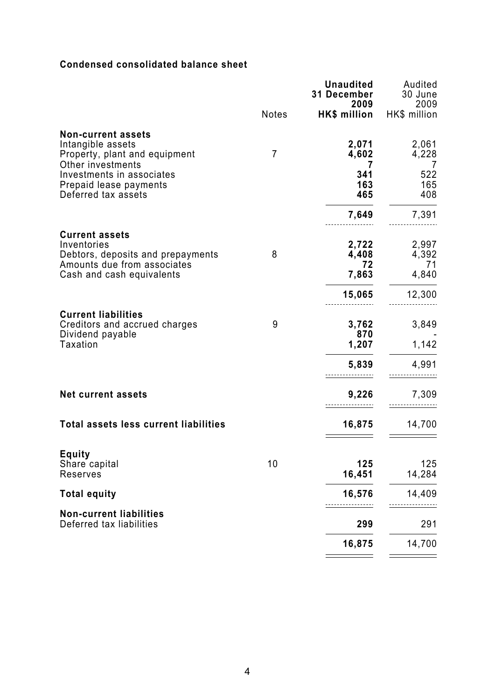# **Condensed consolidated balance sheet**

|                                                                                                 |                | <b>Unaudited</b><br>31 December<br>2009 | Audited<br>30 June<br>2009 |
|-------------------------------------------------------------------------------------------------|----------------|-----------------------------------------|----------------------------|
|                                                                                                 | <b>Notes</b>   | HK\$ million                            | HK\$ million               |
| <b>Non-current assets</b><br>Intangible assets<br>Property, plant and equipment                 | $\overline{7}$ | 2,071<br>4,602                          | 2,061<br>4,228             |
| Other investments<br>Investments in associates<br>Prepaid lease payments<br>Deferred tax assets |                | 7<br>341<br>163<br>465                  | 7<br>522<br>165<br>408     |
|                                                                                                 |                | 7,649                                   | 7,391                      |
| <b>Current assets</b><br>Inventories                                                            |                | 2,722                                   | 2,997                      |
| Debtors, deposits and prepayments<br>Amounts due from associates<br>Cash and cash equivalents   | 8              | 4,408<br>72<br>7,863                    | 4,392<br>71<br>4,840       |
|                                                                                                 |                | 15,065                                  | 12,300                     |
| <b>Current liabilities</b><br>Creditors and accrued charges<br>Dividend payable                 | 9              | 3,762<br>870                            | 3,849                      |
| <b>Taxation</b>                                                                                 |                | 1,207                                   | 1,142                      |
|                                                                                                 |                | 5,839                                   | 4,991                      |
| <b>Net current assets</b>                                                                       |                | 9,226                                   | 7,309                      |
| <b>Total assets less current liabilities</b>                                                    |                | 16,875                                  | 14,700                     |
| <b>Equity</b>                                                                                   |                |                                         |                            |
| Share capital<br>Reserves                                                                       | 10             | 125<br>16,451                           | 125<br>14,284              |
| <b>Total equity</b>                                                                             |                | 16,576                                  | 14,409                     |
| <b>Non-current liabilities</b><br>Deferred tax liabilities                                      |                | 299                                     | 291                        |
|                                                                                                 |                | 16,875                                  | 14,700                     |
|                                                                                                 |                |                                         |                            |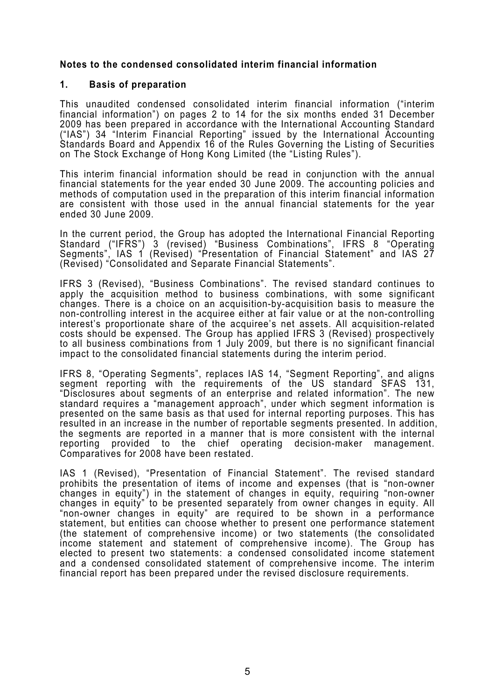# **Notes to the condensed consolidated interim financial information**

# **1. Basis of preparation**

This unaudited condensed consolidated interim financial information ("interim financial information") on pages 2 to 14 for the six months ended 31 December 2009 has been prepared in accordance with the International Accounting Standard ("IAS") 34 "Interim Financial Reporting" issued by the International Accounting Standards Board and Appendix 16 of the Rules Governing the Listing of Securities on The Stock Exchange of Hong Kong Limited (the "Listing Rules").

This interim financial information should be read in conjunction with the annual financial statements for the year ended 30 June 2009. The accounting policies and methods of computation used in the preparation of this interim financial information are consistent with those used in the annual financial statements for the year ended 30 June 2009.

In the current period, the Group has adopted the International Financial Reporting Standard ("IFRS") 3 (revised) "Business Combinations", IFRS 8 "Operating Segments", IAS 1 (Revised) "Presentation of Financial Statement" and IAS 27 (Revised) "Consolidated and Separate Financial Statements".

IFRS 3 (Revised), "Business Combinations". The revised standard continues to apply the acquisition method to business combinations, with some significant changes. There is a choice on an acquisition-by-acquisition basis to measure the non-controlling interest in the acquiree either at fair value or at the non-controlling interest's proportionate share of the acquiree's net assets. All acquisition-related costs should be expensed. The Group has applied IFRS 3 (Revised) prospectively to all business combinations from 1 July 2009, but there is no significant financial impact to the consolidated financial statements during the interim period.

IFRS 8, "Operating Segments", replaces IAS 14, "Segment Reporting", and aligns segment reporting with the requirements of the US standard SFAS 131, "Disclosures about segments of an enterprise and related information". The new standard requires a "management approach", under which segment information is presented on the same basis as that used for internal reporting purposes. This has resulted in an increase in the number of reportable segments presented. In addition, the segments are reported in a manner that is more consistent with the internal reporting provided to the chief operating decision-maker management. Comparatives for 2008 have been restated.

IAS 1 (Revised), "Presentation of Financial Statement". The revised standard prohibits the presentation of items of income and expenses (that is "non-owner changes in equity") in the statement of changes in equity, requiring "non-owner changes in equity" to be presented separately from owner changes in equity. All "non-owner changes in equity" are required to be shown in a performance statement, but entities can choose whether to present one performance statement (the statement of comprehensive income) or two statements (the consolidated income statement and statement of comprehensive income). The Group has elected to present two statements: a condensed consolidated income statement and a condensed consolidated statement of comprehensive income. The interim financial report has been prepared under the revised disclosure requirements.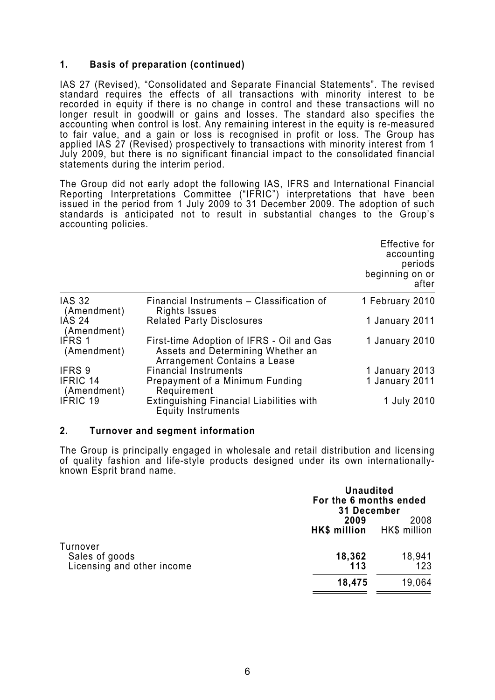# **1. Basis of preparation (continued)**

IAS 27 (Revised), "Consolidated and Separate Financial Statements". The revised standard requires the effects of all transactions with minority interest to be recorded in equity if there is no change in control and these transactions will no longer result in goodwill or gains and losses. The standard also specifies the accounting when control is lost. Any remaining interest in the equity is re-measured to fair value, and a gain or loss is recognised in profit or loss. The Group has applied IAS 27 (Revised) prospectively to transactions with minority interest from 1 July 2009, but there is no significant financial impact to the consolidated financial statements during the interim period.

The Group did not early adopt the following IAS, IFRS and International Financial Reporting Interpretations Committee ("IFRIC") interpretations that have been issued in the period from 1 July 2009 to 31 December 2009. The adoption of such standards is anticipated not to result in substantial changes to the Group's accounting policies.

|                                |                                                                                                                | Effective for<br>accounting<br>periods<br>beginning on or<br>after |
|--------------------------------|----------------------------------------------------------------------------------------------------------------|--------------------------------------------------------------------|
| <b>IAS 32</b><br>(Amendment)   | Financial Instruments - Classification of<br>Rights Issues                                                     | 1 February 2010                                                    |
| <b>IAS 24</b><br>(Amendment)   | <b>Related Party Disclosures</b>                                                                               | 1 January 2011                                                     |
| IFRS 1<br>(Amendment)          | First-time Adoption of IFRS - Oil and Gas<br>Assets and Determining Whether an<br>Arrangement Contains a Lease | 1 January 2010                                                     |
| IFRS 9                         | <b>Financial Instruments</b>                                                                                   | 1 January 2013                                                     |
| <b>IFRIC 14</b><br>(Amendment) | Prepayment of a Minimum Funding<br>Requirement                                                                 | 1 January 2011                                                     |
| <b>IFRIC 19</b>                | <b>Extinguishing Financial Liabilities with</b><br><b>Equity Instruments</b>                                   | 1 July 2010                                                        |

#### **2. Turnover and segment information**

The Group is principally engaged in wholesale and retail distribution and licensing of quality fashion and life-style products designed under its own internationallyknown Esprit brand name.

|                                                          | <b>Unaudited</b><br>For the 6 months ended<br><b>31 December</b> |               |  |  |
|----------------------------------------------------------|------------------------------------------------------------------|---------------|--|--|
|                                                          | 2009<br>HK\$ million<br>HK\$ million                             |               |  |  |
| Turnover<br>Sales of goods<br>Licensing and other income | 18,362<br>113                                                    | 18,941<br>123 |  |  |
|                                                          | 18,475                                                           | 19,064        |  |  |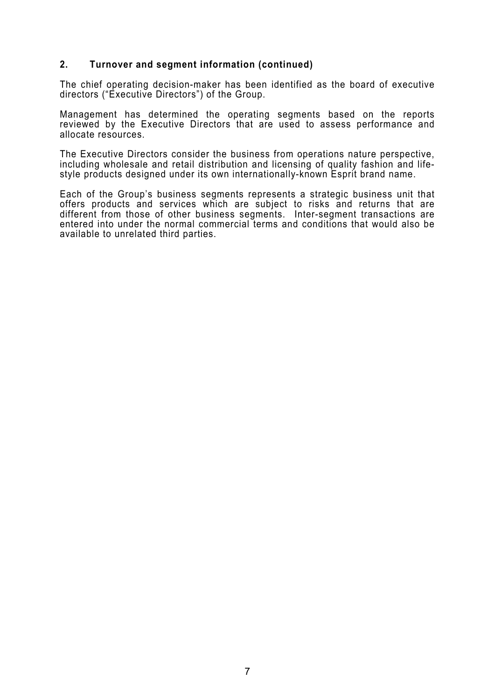# **2. Turnover and segment information (continued)**

The chief operating decision-maker has been identified as the board of executive directors ("Executive Directors") of the Group.

Management has determined the operating segments based on the reports reviewed by the Executive Directors that are used to assess performance and allocate resources.

The Executive Directors consider the business from operations nature perspective, including wholesale and retail distribution and licensing of quality fashion and lifestyle products designed under its own internationally-known Esprit brand name.

Each of the Group's business segments represents a strategic business unit that offers products and services which are subject to risks and returns that are different from those of other business segments. Inter-segment transactions are entered into under the normal commercial terms and conditions that would also be available to unrelated third parties.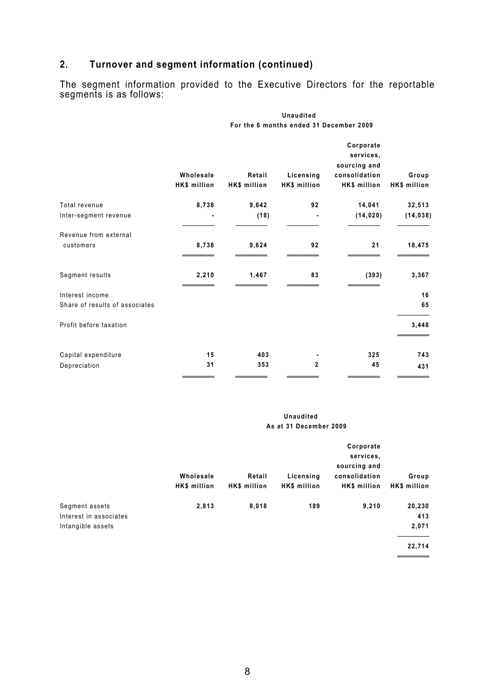# **2. Turnover and segment information (continued)**

The segment information provided to the Executive Directors for the reportable segments is as follows:

**Unaudited** 

|                                | For the 6 months ended 31 December 2009 |                        |                           |                                                                         |                       |
|--------------------------------|-----------------------------------------|------------------------|---------------------------|-------------------------------------------------------------------------|-----------------------|
|                                | Wholesale<br>HK\$ million               | Retail<br>HK\$ million | Licensing<br>HK\$ million | Corporate<br>services,<br>sourcing and<br>consolidation<br>HK\$ million | Group<br>HK\$ million |
| Total revenue                  | 8,738                                   | 9,642                  | 92                        | 14,041                                                                  | 32,513                |
| Inter-segment revenue          |                                         | (18)                   |                           | (14, 020)                                                               | (14, 038)             |
| Revenue from external          |                                         |                        |                           |                                                                         |                       |
| customers                      | 8,738                                   | 9,624                  | 92                        | 21                                                                      | 18,475                |
| Segment results                | 2,210                                   | 1,467                  | 83                        | (393)                                                                   | 3,367                 |
| Interest income                |                                         |                        |                           |                                                                         | 16                    |
| Share of results of associates |                                         |                        |                           |                                                                         | 65                    |
| Profit before taxation         |                                         |                        |                           |                                                                         | 3,448                 |
| Capital expenditure            | 15                                      | 403                    |                           | 325                                                                     | 743                   |
| Depreciation                   | 31                                      | 353                    | $\mathbf{2}$              | 45                                                                      | 431                   |
|                                |                                         |                        |                           |                                                                         |                       |

#### **Unaudited As at 31 December 2009**

|                                                               | Wholesale<br>HK\$ million | Retail<br>HK\$ million | Licensing<br>HK\$ million | Corporate<br>services,<br>sourcing and<br>consolidation<br><b>HK\$</b> million | Group<br>HK\$ million            |
|---------------------------------------------------------------|---------------------------|------------------------|---------------------------|--------------------------------------------------------------------------------|----------------------------------|
| Segment assets<br>Interest in associates<br>Intangible assets | 2,813                     | 8,018                  | 189                       | 9,210                                                                          | 20,230<br>413<br>2,071<br>22,714 |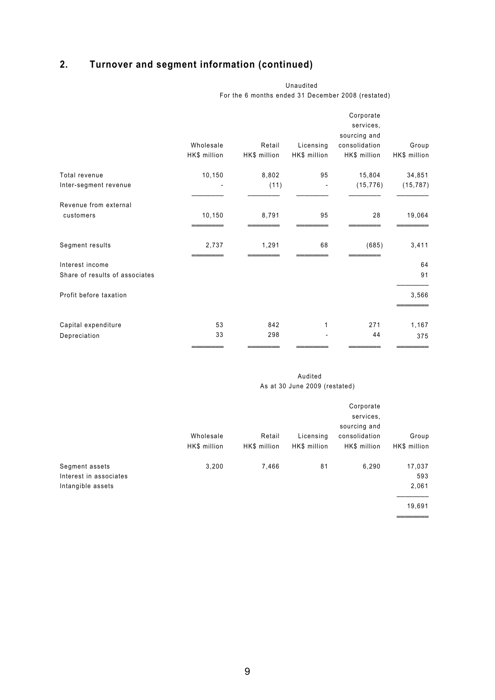# **2. Turnover and segment information (continued)**

|                                | Wholesale<br>HK\$ million | Retail<br>HK\$ million | Licensing<br>HK\$ million | Corporate<br>services,<br>sourcing and<br>consolidation<br>HK\$ million | Group<br>HK\$ million |
|--------------------------------|---------------------------|------------------------|---------------------------|-------------------------------------------------------------------------|-----------------------|
| Total revenue                  | 10,150                    | 8,802                  | 95                        | 15,804                                                                  | 34,851                |
| Inter-segment revenue          |                           | (11)                   | $\overline{\phantom{a}}$  | (15, 776)                                                               | (15, 787)             |
| Revenue from external          |                           |                        |                           |                                                                         |                       |
| customers                      | 10,150                    | 8,791                  | 95                        | 28                                                                      | 19,064                |
| Segment results                | 2,737                     | 1,291                  | 68                        | (685)                                                                   | 3,411                 |
| Interest income                |                           |                        |                           |                                                                         | 64                    |
| Share of results of associates |                           |                        |                           |                                                                         | 91                    |
| Profit before taxation         |                           |                        |                           |                                                                         | 3,566                 |
| Capital expenditure            | 53                        | 842                    | 1                         | 271                                                                     | 1,167                 |
| Depreciation                   | 33                        | 298                    |                           | 44                                                                      | 375                   |
|                                |                           |                        |                           |                                                                         |                       |

Unaudited For the 6 months ended 31 December 2008 (restated)

#### Audited As at 30 June 2009 (restated)

|                                                               | Wholesale<br>HK\$ million | Retail<br>HK\$ million | Licensing<br>HK\$ million | Corporate<br>services.<br>sourcing and<br>consolidation<br>HK\$ million | Group<br>HK\$ million            |
|---------------------------------------------------------------|---------------------------|------------------------|---------------------------|-------------------------------------------------------------------------|----------------------------------|
| Segment assets<br>Interest in associates<br>Intangible assets | 3,200                     | 7,466                  | 81                        | 6,290                                                                   | 17,037<br>593<br>2,061<br>19,691 |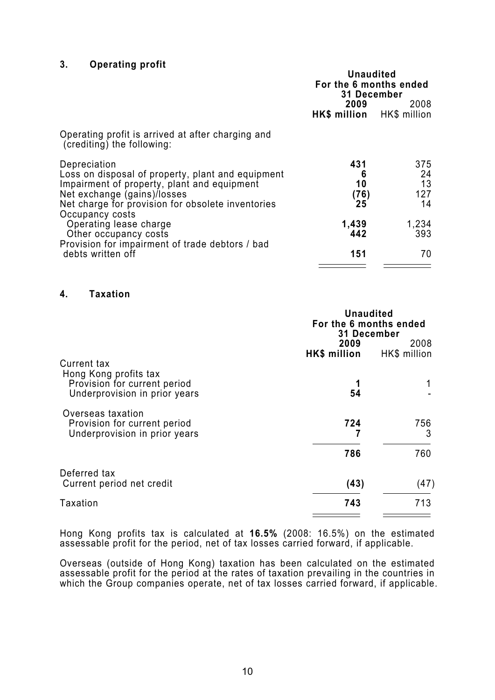# **3. Operating profit**

|                                                                                                                                                                                                                         | <b>Unaudited</b><br>For the 6 months ended<br>31 December |                              |
|-------------------------------------------------------------------------------------------------------------------------------------------------------------------------------------------------------------------------|-----------------------------------------------------------|------------------------------|
|                                                                                                                                                                                                                         | 2009<br>HK\$ million HK\$ million                         | 2008                         |
| Operating profit is arrived at after charging and<br>(crediting) the following:                                                                                                                                         |                                                           |                              |
| Depreciation<br>Loss on disposal of property, plant and equipment<br>Impairment of property, plant and equipment<br>Net exchange (gains)/losses<br>Net charge for provision for obsolete inventories<br>Occupancy costs | 431<br>6<br>10<br>(76)<br>25                              | 375<br>24<br>13<br>127<br>14 |
| Operating lease charge<br>Other occupancy costs                                                                                                                                                                         | 1,439<br>442                                              | 1,234<br>393                 |
| Provision for impairment of trade debtors / bad<br>debts written off                                                                                                                                                    | 151                                                       | 70                           |

#### **4. Taxation**

|                               | <b>Unaudited</b><br>For the 6 months ended<br>31 December |      |  |
|-------------------------------|-----------------------------------------------------------|------|--|
|                               | 2009                                                      | 2008 |  |
| Current tax                   | HK\$ million HK\$ million                                 |      |  |
| Hong Kong profits tax         |                                                           |      |  |
| Provision for current period  |                                                           |      |  |
| Underprovision in prior years | 54                                                        |      |  |
| Overseas taxation             |                                                           |      |  |
| Provision for current period  | 724                                                       | 756  |  |
| Underprovision in prior years |                                                           | 3    |  |
|                               | 786                                                       | 760  |  |
| Deferred tax                  |                                                           |      |  |
| Current period net credit     | (43)                                                      | (47) |  |
| Taxation                      | 743                                                       | 713  |  |
|                               |                                                           |      |  |

Hong Kong profits tax is calculated at **16.5%** (2008: 16.5%) on the estimated assessable profit for the period, net of tax losses carried forward, if applicable.

Overseas (outside of Hong Kong) taxation has been calculated on the estimated assessable profit for the period at the rates of taxation prevailing in the countries in which the Group companies operate, net of tax losses carried forward, if applicable.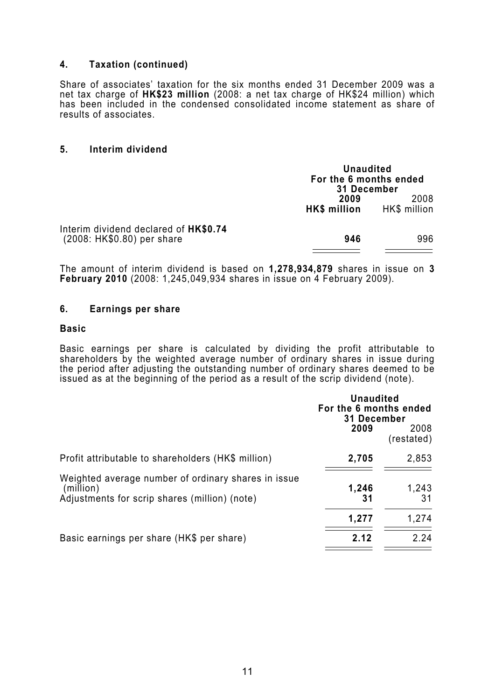# **4. Taxation (continued)**

Share of associates' taxation for the six months ended 31 December 2009 was a net tax charge of **HK\$23 million** (2008: a net tax charge of HK\$24 million) which has been included in the condensed consolidated income statement as share of results of associates.

#### **5. Interim dividend**

|                                                                     | <b>Unaudited</b><br>For the 6 months ended<br>31 December |                      |  |
|---------------------------------------------------------------------|-----------------------------------------------------------|----------------------|--|
|                                                                     | 2009<br><b>HK\$</b> million                               | 2008<br>HK\$ million |  |
| Interim dividend declared of HK\$0.74<br>(2008: HK\$0.80) per share | 946                                                       | 996                  |  |

The amount of interim dividend is based on **1,278,934,879** shares in issue on **3 February 2010** (2008: 1,245,049,934 shares in issue on 4 February 2009).

#### **6. Earnings per share**

#### **Basic**

Basic earnings per share is calculated by dividing the profit attributable to shareholders by the weighted average number of ordinary shares in issue during the period after adjusting the outstanding number of ordinary shares deemed to be issued as at the beginning of the period as a result of the scrip dividend (note).

|                                                                                                                   | <b>Unaudited</b><br>For the 6 months ended<br>31 December |                    |  |
|-------------------------------------------------------------------------------------------------------------------|-----------------------------------------------------------|--------------------|--|
|                                                                                                                   | 2009                                                      | 2008<br>(restated) |  |
| Profit attributable to shareholders (HK\$ million)                                                                | 2,705                                                     | 2,853              |  |
| Weighted average number of ordinary shares in issue<br>(million)<br>Adjustments for scrip shares (million) (note) | 1,246<br>31                                               | 1,243<br>31        |  |
|                                                                                                                   | 1,277                                                     | 1,274              |  |
| Basic earnings per share (HK\$ per share)                                                                         | 2.12                                                      | 2.24               |  |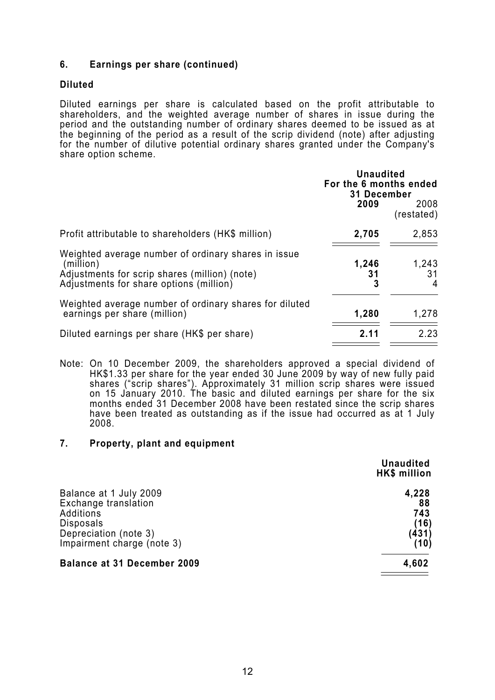# **6. Earnings per share (continued)**

### **Diluted**

Diluted earnings per share is calculated based on the profit attributable to shareholders, and the weighted average number of shares in issue during the period and the outstanding number of ordinary shares deemed to be issued as at the beginning of the period as a result of the scrip dividend (note) after adjusting for the number of dilutive potential ordinary shares granted under the Company's share option scheme.

|                                                                                                                                                              | <b>Unaudited</b><br>For the 6 months ended<br>31 December<br>2009 | 2008<br>(restated)            |
|--------------------------------------------------------------------------------------------------------------------------------------------------------------|-------------------------------------------------------------------|-------------------------------|
| Profit attributable to shareholders (HK\$ million)                                                                                                           | 2,705                                                             | 2,853                         |
| Weighted average number of ordinary shares in issue<br>(million)<br>Adjustments for scrip shares (million) (note)<br>Adjustments for share options (million) | 1,246<br>31<br>3                                                  | 1,243<br>31<br>$\overline{4}$ |
| Weighted average number of ordinary shares for diluted<br>earnings per share (million)                                                                       | 1,280                                                             | 1,278                         |
| Diluted earnings per share (HK\$ per share)                                                                                                                  | 2.11                                                              | 2.23                          |

Note: On 10 December 2009, the shareholders approved a special dividend of HK\$1.33 per share for the year ended 30 June 2009 by way of new fully paid shares ("scrip shares"). Approximately 31 million scrip shares were issued on 15 January 2010. The basic and diluted earnings per share for the six months ended 31 December 2008 have been restated since the scrip shares have been treated as outstanding as if the issue had occurred as at 1 July 2008.

### **7. Property, plant and equipment**

|                                    | <b>Unaudited</b><br>HK\$ million |
|------------------------------------|----------------------------------|
| Balance at 1 July 2009             | 4,228                            |
| Exchange translation               | 88                               |
| Additions                          | 743                              |
| Disposals                          | (16)                             |
| Depreciation (note 3)              | (431)                            |
| Impairment charge (note 3)         | (10)                             |
| <b>Balance at 31 December 2009</b> | 4,602                            |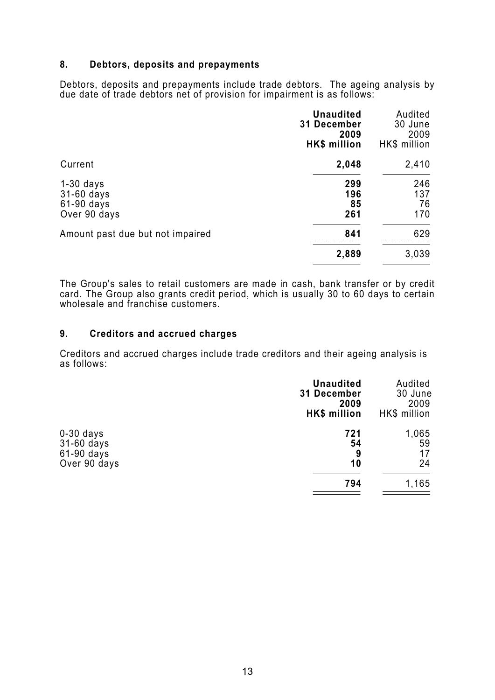# **8. Debtors, deposits and prepayments**

Debtors, deposits and prepayments include trade debtors. The ageing analysis by due date of trade debtors net of provision for impairment is as follows:

|                                                         | <b>Unaudited</b><br><b>31 December</b><br>2009<br>HK\$ million | Audited<br>30 June<br>2009<br>HK\$ million |
|---------------------------------------------------------|----------------------------------------------------------------|--------------------------------------------|
| Current                                                 | 2,048                                                          | 2,410                                      |
| $1-30$ days<br>31-60 days<br>61-90 days<br>Over 90 days | 299<br>196<br>85<br>261                                        | 246<br>137<br>76<br>170                    |
| Amount past due but not impaired                        | 841                                                            | 629                                        |
|                                                         | 2,889                                                          | 3,039                                      |

The Group's sales to retail customers are made in cash, bank transfer or by credit card. The Group also grants credit period, which is usually 30 to 60 days to certain wholesale and franchise customers.

### **9. Creditors and accrued charges**

Creditors and accrued charges include trade creditors and their ageing analysis is as follows:

|                                         | <b>Unaudited</b><br>31 December<br>2009<br><b>HK\$</b> million | Audited<br>30 June<br>2009<br>HK\$ million |
|-----------------------------------------|----------------------------------------------------------------|--------------------------------------------|
| $0-30$ days<br>31-60 days<br>61-90 days | 721<br>54<br>9                                                 | 1,065<br>59<br>17                          |
| Over 90 days                            | 10                                                             | 24                                         |
|                                         | 794                                                            | 1,165                                      |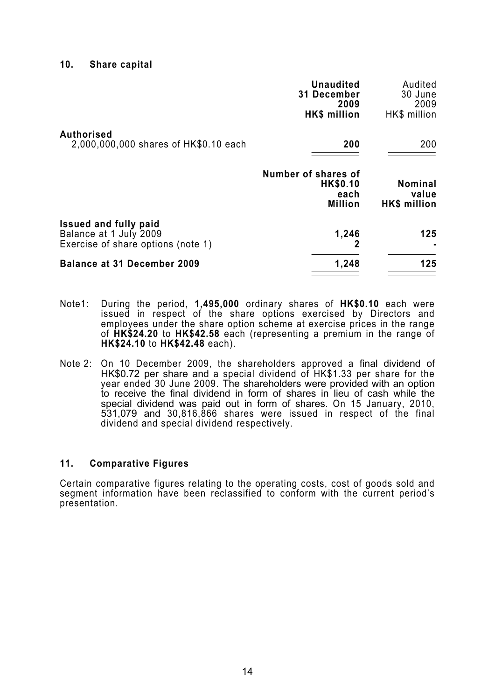#### **10. Share capital**

|                                                                                              | <b>Unaudited</b><br>31 December<br>2009<br>HK\$ million          | Audited<br>30 June<br>2009<br>HK\$ million     |
|----------------------------------------------------------------------------------------------|------------------------------------------------------------------|------------------------------------------------|
| <b>Authorised</b><br>2,000,000,000 shares of HK\$0.10 each                                   | 200                                                              | 200                                            |
|                                                                                              | Number of shares of<br><b>HK\$0.10</b><br>each<br><b>Million</b> | <b>Nominal</b><br>value<br><b>HK\$ million</b> |
| <b>Issued and fully paid</b><br>Balance at 1 July 2009<br>Exercise of share options (note 1) | 1,246                                                            | 125                                            |
| <b>Balance at 31 December 2009</b>                                                           | 1,248                                                            | 125                                            |

- Note1: During the period, **1,495,000** ordinary shares of **HK\$0.10** each were issued in respect of the share options exercised by Directors and employees under the share option scheme at exercise prices in the range of **HK\$24.20** to **HK\$42.58** each (representing a premium in the range of **HK\$24.10** to **HK\$42.48** each).
- Note 2: On 10 December 2009, the shareholders approved a final dividend of HK\$0.72 per share and a special dividend of HK\$1.33 per share for the year ended 30 June 2009. The shareholders were provided with an option to receive the final dividend in form of shares in lieu of cash while the special dividend was paid out in form of shares. On 15 January, 2010, 531,079 and 30,816,866 shares were issued in respect of the final dividend and special dividend respectively.

#### **11. Comparative Figures**

Certain comparative figures relating to the operating costs, cost of goods sold and segment information have been reclassified to conform with the current period's presentation.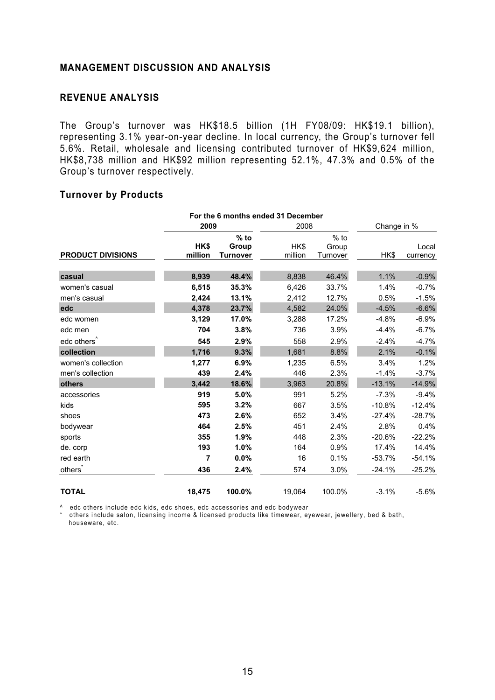### **MANAGEMENT DISCUSSION AND ANALYSIS**

# **REVENUE ANALYSIS**

The Group's turnover was HK\$18.5 billion (1H FY08/09: HK\$19.1 billion), representing 3.1% year-on-year decline. In local currency, the Group's turnover fell 5.6%. Retail, wholesale and licensing contributed turnover of HK\$9,624 million, HK\$8,738 million and HK\$92 million representing 52.1%, 47.3% and 0.5% of the Group's turnover respectively.

### **Turnover by Products**

|                          | For the 6 months ended 31 December |                                    |                 |                             |          |                   |  |
|--------------------------|------------------------------------|------------------------------------|-----------------|-----------------------------|----------|-------------------|--|
|                          | 2009                               |                                    |                 | 2008                        |          | Change in %       |  |
| <b>PRODUCT DIVISIONS</b> | HK\$<br>million                    | $%$ to<br>Group<br><b>Turnover</b> | HK\$<br>million | $%$ to<br>Group<br>Turnover | HK\$     | Local<br>currency |  |
| casual                   | 8,939                              | 48.4%                              | 8,838           | 46.4%                       | 1.1%     | $-0.9%$           |  |
| women's casual           | 6,515                              | 35.3%                              | 6,426           | 33.7%                       | 1.4%     | $-0.7%$           |  |
| men's casual             | 2,424                              | 13.1%                              | 2,412           | 12.7%                       | 0.5%     | $-1.5%$           |  |
| edc                      | 4,378                              | 23.7%                              | 4,582           | 24.0%                       | $-4.5%$  | $-6.6%$           |  |
| edc women                | 3,129                              | 17.0%                              | 3,288           | 17.2%                       | $-4.8%$  | $-6.9%$           |  |
| edc men                  | 704                                | 3.8%                               | 736             | 3.9%                        | $-4.4%$  | $-6.7%$           |  |
| edc others <sup>^</sup>  | 545                                | 2.9%                               | 558             | 2.9%                        | $-2.4%$  | $-4.7%$           |  |
| collection               | 1,716                              | 9.3%                               | 1,681           | 8.8%                        | 2.1%     | $-0.1%$           |  |
| women's collection       | 1,277                              | 6.9%                               | 1,235           | 6.5%                        | 3.4%     | 1.2%              |  |
| men's collection         | 439                                | 2.4%                               | 446             | 2.3%                        | $-1.4%$  | $-3.7%$           |  |
| others                   | 3,442                              | 18.6%                              | 3,963           | 20.8%                       | $-13.1%$ | $-14.9%$          |  |
| accessories              | 919                                | 5.0%                               | 991             | 5.2%                        | $-7.3%$  | $-9.4%$           |  |
| kids                     | 595                                | 3.2%                               | 667             | 3.5%                        | $-10.8%$ | $-12.4%$          |  |
| shoes                    | 473                                | 2.6%                               | 652             | 3.4%                        | $-27.4%$ | $-28.7%$          |  |
| bodywear                 | 464                                | 2.5%                               | 451             | 2.4%                        | 2.8%     | 0.4%              |  |
| sports                   | 355                                | 1.9%                               | 448             | 2.3%                        | $-20.6%$ | $-22.2%$          |  |
| de. corp                 | 193                                | 1.0%                               | 164             | 0.9%                        | 17.4%    | 14.4%             |  |
| red earth                | 7                                  | 0.0%                               | 16              | 0.1%                        | $-53.7%$ | $-54.1%$          |  |
| others <sup>®</sup>      | 436                                | 2.4%                               | 574             | 3.0%                        | $-24.1%$ | $-25.2%$          |  |
| <b>TOTAL</b>             | 18,475                             | 100.0%                             | 19,064          | 100.0%                      | $-3.1%$  | $-5.6%$           |  |

^ edc others include edc kids, edc shoes, edc accessories and edc bodywear

\* others include salon, licensing income & licensed products like timewear, eyewear, jewellery, bed & bath, houseware, etc.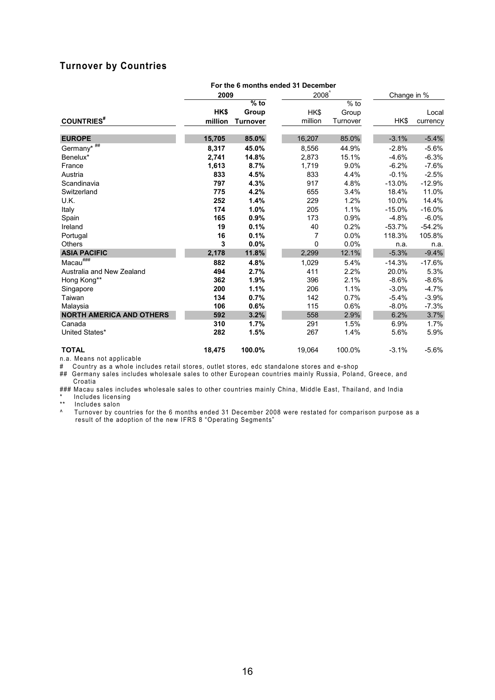# **Turnover by Countries**

| For the 6 months ended 31 December |              |                 |         |             |          |          |
|------------------------------------|--------------|-----------------|---------|-------------|----------|----------|
|                                    | 2008<br>2009 |                 |         | Change in % |          |          |
|                                    |              | $%$ to          |         | $%$ to      |          |          |
|                                    | HK\$         | Group           | HK\$    | Group       |          | Local    |
| <b>COUNTRIES</b> #                 | million      | <b>Turnover</b> | million | Turnover    | HK\$     | currency |
|                                    |              |                 |         |             |          |          |
| <b>EUROPE</b>                      | 15,705       | 85.0%           | 16,207  | 85.0%       | $-3.1%$  | $-5.4%$  |
| Germany* ##                        | 8,317        | 45.0%           | 8.556   | 44.9%       | $-2.8%$  | $-5.6%$  |
| Benelux*                           | 2,741        | 14.8%           | 2,873   | 15.1%       | $-4.6%$  | $-6.3%$  |
| France                             | 1,613        | 8.7%            | 1,719   | 9.0%        | $-6.2%$  | $-7.6%$  |
| Austria                            | 833          | 4.5%            | 833     | 4.4%        | $-0.1%$  | $-2.5%$  |
| Scandinavia                        | 797          | 4.3%            | 917     | 4.8%        | $-13.0%$ | $-12.9%$ |
| Switzerland                        | 775          | 4.2%            | 655     | 3.4%        | 18.4%    | 11.0%    |
| U.K.                               | 252          | 1.4%            | 229     | 1.2%        | 10.0%    | 14.4%    |
| Italy                              | 174          | 1.0%            | 205     | 1.1%        | $-15.0%$ | $-16.0%$ |
| Spain                              | 165          | 0.9%            | 173     | 0.9%        | $-4.8%$  | $-6.0%$  |
| Ireland                            | 19           | 0.1%            | 40      | 0.2%        | $-53.7%$ | $-54.2%$ |
| Portugal                           | 16           | 0.1%            | 7       | 0.0%        | 118.3%   | 105.8%   |
| <b>Others</b>                      | 3            | 0.0%            | 0       | 0.0%        | n.a.     | n.a.     |
| <b>ASIA PACIFIC</b>                | 2,178        | 11.8%           | 2,299   | 12.1%       | $-5.3%$  | $-9.4%$  |
| $Macau^{\# \# \#}$                 | 882          | 4.8%            | 1,029   | 5.4%        | $-14.3%$ | $-17.6%$ |
| Australia and New Zealand          | 494          | 2.7%            | 411     | 2.2%        | 20.0%    | 5.3%     |
| Hong Kong**                        | 362          | 1.9%            | 396     | 2.1%        | $-8.6%$  | $-8.6%$  |
| Singapore                          | 200          | 1.1%            | 206     | 1.1%        | $-3.0%$  | $-4.7%$  |
| Taiwan                             | 134          | 0.7%            | 142     | 0.7%        | $-5.4%$  | $-3.9%$  |
| Malaysia                           | 106          | 0.6%            | 115     | 0.6%        | $-8.0%$  | $-7.3%$  |
| <b>NORTH AMERICA AND OTHERS</b>    | 592          | 3.2%            | 558     | 2.9%        | 6.2%     | 3.7%     |
| Canada                             | 310          | 1.7%            | 291     | 1.5%        | 6.9%     | 1.7%     |
| United States*                     | 282          | 1.5%            | 267     | 1.4%        | 5.6%     | 5.9%     |
| <b>TOTAL</b>                       | 18.475       | 100.0%          | 19,064  | 100.0%      | $-3.1%$  | $-5.6%$  |

n.a. Means not applicable

# Country as a whole includes retail stores, outlet stores, edc standalone stores and e-shop

## Germany sales includes wholesale sales to other European countries mainly Russia, Poland, Greece, and Croatia

### Macau sales includes wholesale sales to other countries mainly China, Middle East, Thailand, and India

**Includes licensing** 

\*\* Includes salon

^ Turnover by countries for the 6 months ended 31 December 2008 were restated for comparison purpose as a result of the adoption of the new IFRS 8 "Operating Segments"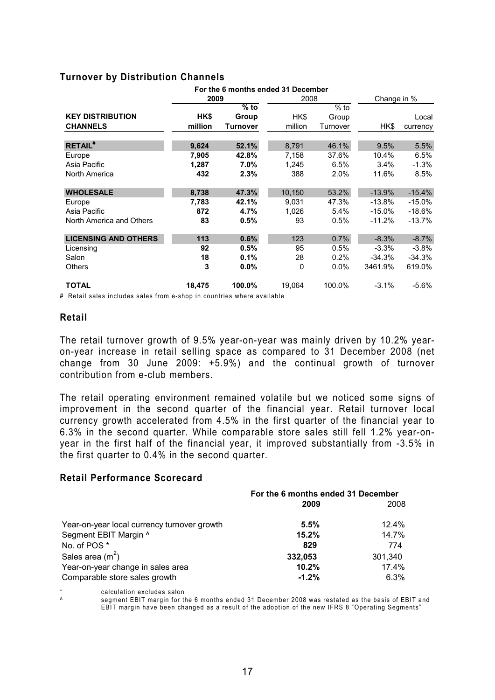# **Turnover by Distribution Channels**

|                             |         |                 | For the 6 months ended 31 December |          |           |             |
|-----------------------------|---------|-----------------|------------------------------------|----------|-----------|-------------|
|                             | 2009    |                 |                                    | 2008     |           | Change in % |
|                             |         | $\sqrt{6}$ to   |                                    | $%$ to   |           |             |
| <b>KEY DISTRIBUTION</b>     | HK\$    | Group           | HK\$                               | Group    |           | Local       |
| <b>CHANNELS</b>             | million | <b>Turnover</b> | million                            | Turnover | HK\$      | currency    |
| <b>RETAIL#</b>              | 9,624   | 52.1%           | 8,791                              | 46.1%    | 9.5%      | 5.5%        |
|                             |         |                 |                                    |          |           |             |
| Europe                      | 7,905   | 42.8%           | 7,158                              | 37.6%    | 10.4%     | 6.5%        |
| Asia Pacific                | 1,287   | $7.0\%$         | 1,245                              | 6.5%     | 3.4%      | $-1.3%$     |
| North America               | 432     | 2.3%            | 388                                | 2.0%     | 11.6%     | 8.5%        |
| <b>WHOLESALE</b>            | 8,738   | 47.3%           | 10.150                             | 53.2%    | $-13.9%$  | $-15.4%$    |
| Europe                      | 7,783   | 42.1%           | 9,031                              | 47.3%    | $-13.8\%$ | $-15.0\%$   |
| Asia Pacific                | 872     | 4.7%            | 1,026                              | 5.4%     | $-15.0\%$ | $-18.6%$    |
| North America and Others    | 83      | 0.5%            | 93                                 | 0.5%     | $-11.2\%$ | $-13.7%$    |
| <b>LICENSING AND OTHERS</b> | 113     |                 |                                    |          | $-8.3%$   |             |
|                             |         | 0.6%            | 123                                | 0.7%     |           | $-8.7%$     |
| Licensing                   | 92      | 0.5%            | 95                                 | 0.5%     | $-3.3%$   | $-3.8%$     |
| Salon                       | 18      | 0.1%            | 28                                 | 0.2%     | $-34.3\%$ | $-34.3%$    |
| <b>Others</b>               | 3       | $0.0\%$         | 0                                  | $0.0\%$  | 3461.9%   | 619.0%      |
| <b>TOTAL</b>                | 18,475  | 100.0%          | 19,064                             | 100.0%   | $-3.1%$   | $-5.6\%$    |

# Retail sales includes sales from e-shop in countries where available

### **Retail**

The retail turnover growth of 9.5% year-on-year was mainly driven by 10.2% yearon-year increase in retail selling space as compared to 31 December 2008 (net change from 30 June 2009: +5.9%) and the continual growth of turnover contribution from e-club members.

The retail operating environment remained volatile but we noticed some signs of improvement in the second quarter of the financial year. Retail turnover local currency growth accelerated from 4.5% in the first quarter of the financial year to 6.3% in the second quarter. While comparable store sales still fell 1.2% year-onyear in the first half of the financial year, it improved substantially from -3.5% in the first quarter to 0.4% in the second quarter.

#### **Retail Performance Scorecard**

|                                             | For the 6 months ended 31 December |          |  |
|---------------------------------------------|------------------------------------|----------|--|
|                                             | 2009                               | 2008     |  |
| Year-on-year local currency turnover growth | 5.5%                               | $12.4\%$ |  |
| Segment EBIT Margin ^                       | 15.2%                              | 14.7%    |  |
| No. of POS*                                 | 829                                | 774      |  |
| Sales area $(m2)$                           | 332.053                            | 301.340  |  |
| Year-on-year change in sales area           | 10.2%                              | 17.4%    |  |
| Comparable store sales growth               | $-1.2%$                            | 6.3%     |  |

\* calculation excludes salon

segment EBIT margin for the 6 months ended 31 December 2008 was restated as the basis of EBIT and EBIT margin have been changed as a result of the adoption of the new IFRS 8 "Operating Segments"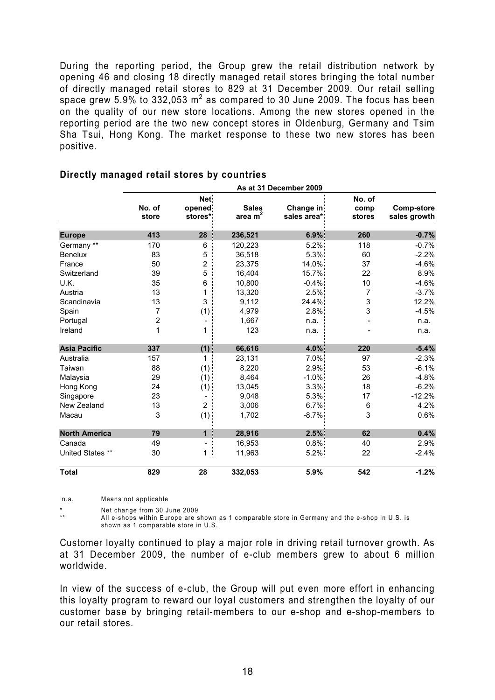During the reporting period, the Group grew the retail distribution network by opening 46 and closing 18 directly managed retail stores bringing the total number of directly managed retail stores to 829 at 31 December 2009. Our retail selling space grew 5.9% to 332,053  $m^2$  as compared to 30 June 2009. The focus has been on the quality of our new store locations. Among the new stores opened in the reporting period are the two new concept stores in Oldenburg, Germany and Tsim Sha Tsui, Hong Kong. The market response to these two new stores has been positive.

|                      | As at 31 December 2009 |                 |              |             |                |                   |
|----------------------|------------------------|-----------------|--------------|-------------|----------------|-------------------|
|                      | No. of                 | Net:<br>opened: | <b>Sales</b> | Change in   | No. of<br>comp | <b>Comp-store</b> |
|                      | store                  | stores*:        | area $m2$    | sales area* | stores         | sales growth      |
| <b>Europe</b>        | 413                    | 28              | 236,521      | 6.9%        | 260            | $-0.7%$           |
| Germany **           | 170                    | $\,6$           | 120,223      | $5.2\%$     | 118            | $-0.7%$           |
| <b>Benelux</b>       | 83                     | 5               | 36,518       | 5.3%        | 60             | $-2.2%$           |
| France               | 50                     | 2               | 23,375       | 14.0%       | 37             | $-4.6%$           |
| Switzerland          | 39                     | 5               | 16,404       | 15.7%       | 22             | 8.9%              |
| U.K.                 | 35                     | 6               | 10,800       | $-0.4%$     | 10             | $-4.6%$           |
| Austria              | 13                     | 1               | 13,320       | 2.5%        | 7              | $-3.7%$           |
| Scandinavia          | 13                     | 3               | 9,112        | 24.4%       | 3              | 12.2%             |
| Spain                | 7                      | (1)             | 4,979        | 2.8%        | 3              | $-4.5%$           |
| Portugal             | $\overline{2}$         |                 | 1,667        | n.a.        |                | n.a.              |
| Ireland              | 1                      | 1               | 123          | n.a.        |                | n.a.              |
| <b>Asia Pacific</b>  | 337                    | $(1)$ :         | 66,616       | 4.0%        | 220            | $-5.4%$           |
| Australia            | 157                    | 1               | 23,131       | 7.0%        | 97             | $-2.3%$           |
| Taiwan               | 88                     | $(1)$ :         | 8,220        | 2.9%        | 53             | $-6.1%$           |
| Malaysia             | 29                     | $(1)$ .         | 8,464        | $-1.0\%$    | 26             | $-4.8%$           |
| Hong Kong            | 24                     | (1)             | 13,045       | 3.3%        | 18             | $-6.2%$           |
| Singapore            | 23                     |                 | 9,048        | $5.3\%$     | 17             | $-12.2%$          |
| New Zealand          | 13                     | $\overline{2}$  | 3,006        | $6.7\%$     | 6              | 4.2%              |
| Macau                | 3                      | (1)             | 1,702        | -8.7%       | 3              | 0.6%              |
| <b>North America</b> | 79                     | $\mathbf 1$     | 28,916       | 2.5%        | 62             | 0.4%              |
| Canada               | 49                     |                 | 16,953       | $0.8\%$     | 40             | 2.9%              |
| United States **     | 30                     | 1               | 11,963       | $5.2\%$     | 22             | $-2.4%$           |
| <b>Total</b>         | 829                    | 28              | 332,053      | 5.9%        | 542            | $-1.2%$           |

# **Directly managed retail stores by countries**

n.a. Means not applicable

Net change from 30 June 2009

All e-shops within Europe are shown as 1 comparable store in Germany and the e-shop in U.S. is shown as 1 comparable store in U.S.

Customer loyalty continued to play a major role in driving retail turnover growth. As at 31 December 2009, the number of e-club members grew to about 6 million worldwide.

In view of the success of e-club, the Group will put even more effort in enhancing this loyalty program to reward our loyal customers and strengthen the loyalty of our customer base by bringing retail-members to our e-shop and e-shop-members to our retail stores.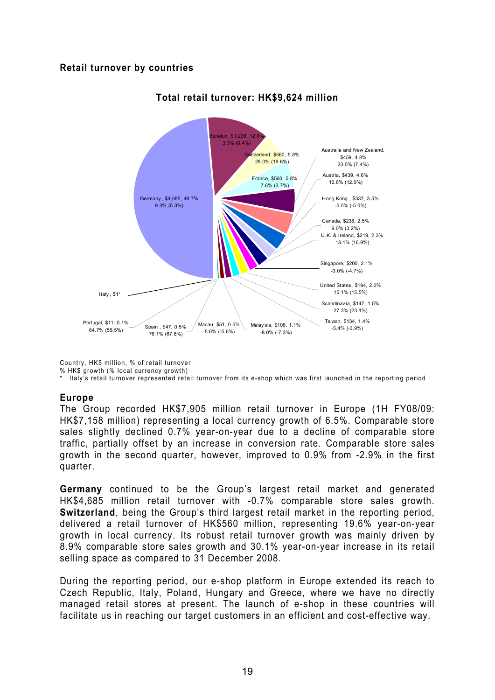# **Retail turnover by countries**



# **Total retail turnover: HK\$9,624 million**

Country, HK\$ million, % of retail turnover

% HK\$ growth (% local currency growth)

\* Italy's retail turnover represented retail turnover from its e-shop which was first launched in the reporting period

# **Europe**

The Group recorded HK\$7,905 million retail turnover in Europe (1H FY08/09: HK\$7,158 million) representing a local currency growth of 6.5%. Comparable store sales slightly declined 0.7% year-on-year due to a decline of comparable store traffic, partially offset by an increase in conversion rate. Comparable store sales growth in the second quarter, however, improved to 0.9% from -2.9% in the first quarter.

**Germany** continued to be the Group's largest retail market and generated HK\$4,685 million retail turnover with -0.7% comparable store sales growth. **Switzerland**, being the Group's third largest retail market in the reporting period, delivered a retail turnover of HK\$560 million, representing 19.6% year-on-year growth in local currency. Its robust retail turnover growth was mainly driven by 8.9% comparable store sales growth and 30.1% year-on-year increase in its retail selling space as compared to 31 December 2008.

During the reporting period, our e-shop platform in Europe extended its reach to Czech Republic, Italy, Poland, Hungary and Greece, where we have no directly managed retail stores at present. The launch of e-shop in these countries will facilitate us in reaching our target customers in an efficient and cost-effective way.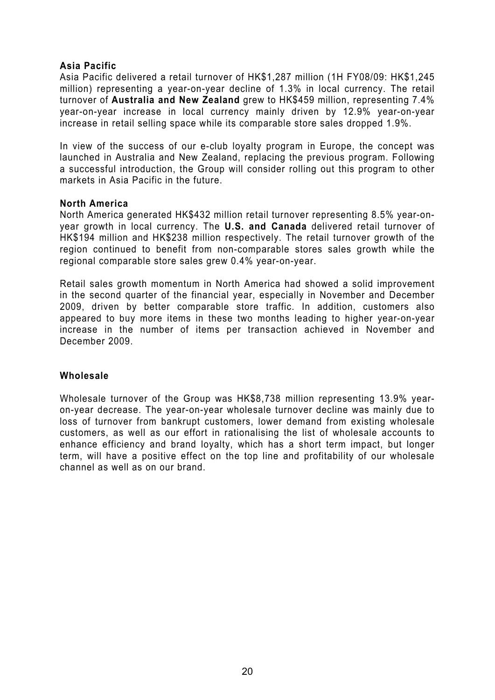# **Asia Pacific**

Asia Pacific delivered a retail turnover of HK\$1,287 million (1H FY08/09: HK\$1,245 million) representing a year-on-year decline of 1.3% in local currency. The retail turnover of **Australia and New Zealand** grew to HK\$459 million, representing 7.4% year-on-year increase in local currency mainly driven by 12.9% year-on-year increase in retail selling space while its comparable store sales dropped 1.9%.

In view of the success of our e-club loyalty program in Europe, the concept was launched in Australia and New Zealand, replacing the previous program. Following a successful introduction, the Group will consider rolling out this program to other markets in Asia Pacific in the future.

### **North America**

North America generated HK\$432 million retail turnover representing 8.5% year-onyear growth in local currency. The **U.S. and Canada** delivered retail turnover of HK\$194 million and HK\$238 million respectively. The retail turnover growth of the region continued to benefit from non-comparable stores sales growth while the regional comparable store sales grew 0.4% year-on-year.

Retail sales growth momentum in North America had showed a solid improvement in the second quarter of the financial year, especially in November and December 2009, driven by better comparable store traffic. In addition, customers also appeared to buy more items in these two months leading to higher year-on-year increase in the number of items per transaction achieved in November and December 2009.

# **Wholesale**

Wholesale turnover of the Group was HK\$8,738 million representing 13.9% yearon-year decrease. The year-on-year wholesale turnover decline was mainly due to loss of turnover from bankrupt customers, lower demand from existing wholesale customers, as well as our effort in rationalising the list of wholesale accounts to enhance efficiency and brand loyalty, which has a short term impact, but longer term, will have a positive effect on the top line and profitability of our wholesale channel as well as on our brand.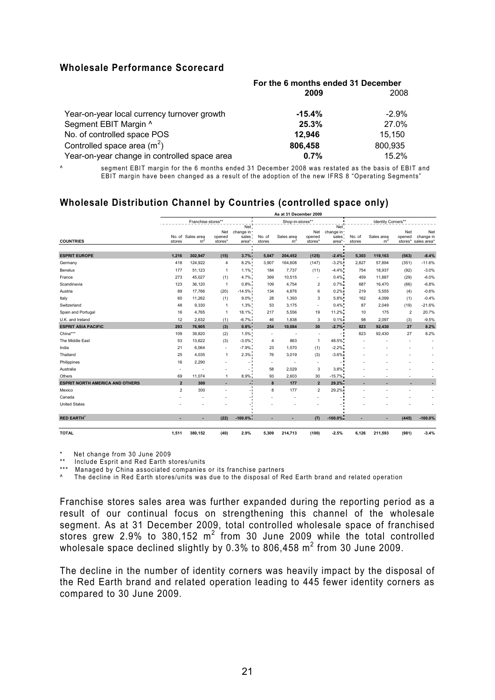### **Wholesale Performance Scorecard**

|                                              | For the 6 months ended 31 December |          |  |
|----------------------------------------------|------------------------------------|----------|--|
|                                              | 2009                               | 2008     |  |
| Year-on-year local currency turnover growth  | $-15.4%$                           | $-2.9\%$ |  |
| Segment EBIT Margin ^                        | 25.3%                              | 27.0%    |  |
| No. of controlled space POS                  | 12.946                             | 15.150   |  |
| Controlled space area $(m^2)$                | 806,458                            | 800,935  |  |
| Year-on-year change in controlled space area | 0.7%                               | 15.2%    |  |

^ segment EBIT margin for the 6 months ended 31 December 2008 was restated as the basis of EBIT and EBIT margin have been changed as a result of the adoption of the new IFRS 8 "Operating Segments"

# **Wholesale Distribution Channel by Countries (controlled space only)**

|                                        |                |                                     |                   |                                          |                          | As at 31 December 2009       |                          |                                         |                  |                              |                |                                         |
|----------------------------------------|----------------|-------------------------------------|-------------------|------------------------------------------|--------------------------|------------------------------|--------------------------|-----------------------------------------|------------------|------------------------------|----------------|-----------------------------------------|
|                                        |                | Franchise stores**                  |                   |                                          |                          | Shop-in-stores**             |                          |                                         |                  | Identity Corners**           |                |                                         |
| <b>COUNTRIES</b>                       | stores         | No. of Sales area<br>m <sup>2</sup> | opened<br>stores* | Net.<br>Net change in<br>sales:<br>area* | No. of<br>stores         | Sales area<br>m <sup>2</sup> | opened<br>stores*        | Net.<br>Net change in<br>sales<br>area* | No. of<br>stores | Sales area<br>m <sup>2</sup> | Net<br>opened  | Net<br>change in<br>stores* sales area* |
|                                        |                |                                     |                   |                                          |                          |                              |                          |                                         |                  |                              |                |                                         |
| <b>ESPRIT EUROPE</b>                   | 1,216          | 302.947                             | (15)              | 3.7%                                     | 5,047                    | 204,452                      | (125)                    | $-2.4%$                                 | 5,303            | 119,163                      | (563)          | $-8.4%$                                 |
| Germany                                | 418            | 124,922                             | $\overline{4}$    | 8.2%                                     | 3,907                    | 164,608                      | (147)                    | $-3.2%$                                 | 2,827            | 57,894                       | (351)          | $-11.6%$                                |
| Benelux                                | 177            | 51,123                              | $\overline{1}$    | 1.1%                                     | 184                      | 7,737                        | (11)                     | $-4.4%$                                 | 754              | 18,937                       | (92)           | $-3.0%$                                 |
| France                                 | 273            | 45,027                              | (1)               | 4.7%                                     | 369                      | 10,515                       | ٠                        | 0.4%                                    | 459              | 11,887                       | (29)           | $-6.0%$                                 |
| Scandinavia                            | 123            | 36,120                              | $\overline{1}$    | 0.8%                                     | 109                      | 4,754                        | 2                        | 0.7%                                    | 687              | 16,470                       | (66)           | $-6.8%$                                 |
| Austria                                | 89             | 17,766                              | (20)              | $-14.5%$                                 | 134                      | 4,876                        | 6                        | 0.2%                                    | 219              | 5,555                        | (4)            | $-0.6%$                                 |
| Italy                                  | 60             | 11,262                              | (1)               | $9.0\%$                                  | 28                       | 1,393                        | 3                        | 5.8%                                    | 162              | 4,099                        | (1)            | $-0.4%$                                 |
| Switzerland                            | 48             | 9,330                               | $\overline{1}$    | 1.3%                                     | 53                       | 3,175                        | $\sim$                   | 0.4%                                    | 87               | 2,049                        | (19)           | $-21.6%$                                |
| Spain and Portugal                     | 16             | 4,765                               | $\overline{1}$    | 18.1%                                    | 217                      | 5,556                        | 19                       | 11.2%                                   | 10               | 175                          | $\overline{2}$ | 20.7%                                   |
| U.K. and Ireland                       | 12             | 2,632                               | (1)               | $-6.7%$                                  | 46                       | 1,838                        | 3                        | 0.1%                                    | 98               | 2,097                        | (3)            | $-9.5%$                                 |
| <b>ESPRIT ASIA PACIFIC</b>             | 293            | 76,905                              | (3)               | $0.8\%$                                  | 254                      | 10,084                       | 30                       | $-2.7%$                                 | 823              | 92,430                       | 27             | 8.2%                                    |
| China***                               | 109            | 39.820                              | (2)               | 1.5%                                     | $\overline{\phantom{a}}$ | ٠                            | $\overline{\phantom{a}}$ |                                         | 823              | 92,430                       | 27             | 8.2%                                    |
| The Middle East                        | 53             | 13,622                              | (3)               | $-3.0\%$                                 | 4                        | 863                          | $\mathbf{1}$             | 48.5%                                   |                  |                              |                |                                         |
| India                                  | 21             | 6,064                               | $\sim$            | $-7.9%$                                  | 23                       | 1,570                        | (1)                      | $-2.2%$                                 |                  |                              |                |                                         |
| Thailand                               | 25             | 4,035                               | $\mathbf{1}$      | 2.3%                                     | 76                       | 3,019                        | (3)                      | $-3.6%$                                 |                  |                              |                |                                         |
| Philippines                            | 16             | 2,290                               |                   |                                          | $\sim$                   | <u>. .</u>                   | и.                       |                                         |                  |                              |                |                                         |
| Australia                              | ٠              |                                     |                   |                                          | 58                       | 2,029                        | 3                        | 3.8%                                    |                  |                              |                |                                         |
| Others                                 | 69             | 11,074                              | $\overline{1}$    | 8.9%                                     | 93                       | 2,603                        | 30                       | $-15.7%$                                |                  |                              |                |                                         |
| <b>ESPRIT NORTH AMERICA AND OTHERS</b> | $\overline{2}$ | 300                                 |                   |                                          | 8                        | 177                          | $\overline{2}$           | 29.2%                                   |                  |                              |                |                                         |
| Mexico                                 | $\overline{2}$ | 300                                 |                   |                                          | 8                        | 177                          | $\overline{\mathbf{c}}$  | 29.2%                                   |                  |                              |                |                                         |
| Canada                                 |                |                                     |                   |                                          |                          |                              |                          |                                         |                  |                              |                |                                         |
| <b>United States</b>                   |                |                                     |                   |                                          |                          |                              |                          |                                         |                  |                              |                |                                         |
| <b>RED EARTH</b>                       |                |                                     | (22)              | $-100.0\%$                               |                          |                              | (7)                      | $-100.0\%$                              |                  |                              | (445)          | $-100.0%$                               |
| <b>TOTAL</b>                           | 1,511          | 380,152                             | (40)              | 2.9%                                     | 5,309                    | 214,713                      | (100)                    | $-2.5%$                                 | 6,126            | 211,593                      | (981)          | $-3.4%$                                 |

\* Net change from 30 June 2009

\*\* Include Esprit and Red Earth stores/units

\*\*\* Managed by China associated companies or its franchise partners

A The decline in Red Earth stores/units was due to the disposal of Red Earth brand and related operation

Franchise stores sales area was further expanded during the reporting period as a result of our continual focus on strengthening this channel of the wholesale segment. As at 31 December 2009, total controlled wholesale space of franchised stores grew 2.9% to 380,152  $m^2$  from 30 June 2009 while the total controlled wholesale space declined slightly by 0.3% to 806,458  $m^2$  from 30 June 2009.

The decline in the number of identity corners was heavily impact by the disposal of the Red Earth brand and related operation leading to 445 fewer identity corners as compared to 30 June 2009.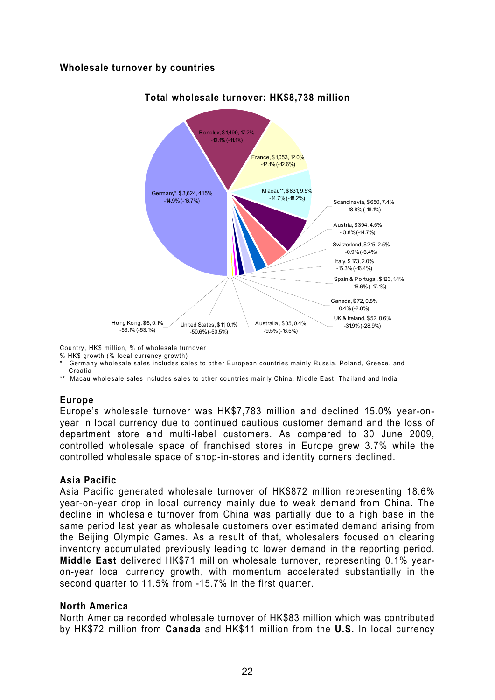# **Wholesale turnover by countries**



# **Total wholesale turnover: HK\$8,738 million**

Country, HK\$ million, % of wholesale turnover

% HK\$ growth (% local currency growth)

- Germany wholesale sales includes sales to other European countries mainly Russia, Poland, Greece, and Croatia
- \*\* Macau wholesale sales includes sales to other countries mainly China, Middle East, Thailand and India

# **Europe**

Europe's wholesale turnover was HK\$7,783 million and declined 15.0% year-onyear in local currency due to continued cautious customer demand and the loss of department store and multi-label customers. As compared to 30 June 2009, controlled wholesale space of franchised stores in Europe grew 3.7% while the controlled wholesale space of shop-in-stores and identity corners declined.

# **Asia Pacific**

Asia Pacific generated wholesale turnover of HK\$872 million representing 18.6% year-on-year drop in local currency mainly due to weak demand from China. The decline in wholesale turnover from China was partially due to a high base in the same period last year as wholesale customers over estimated demand arising from the Beijing Olympic Games. As a result of that, wholesalers focused on clearing inventory accumulated previously leading to lower demand in the reporting period. **Middle East** delivered HK\$71 million wholesale turnover, representing 0.1% yearon-year local currency growth, with momentum accelerated substantially in the second quarter to 11.5% from -15.7% in the first quarter.

# **North America**

North America recorded wholesale turnover of HK\$83 million which was contributed by HK\$72 million from **Canada** and HK\$11 million from the **U.S.** In local currency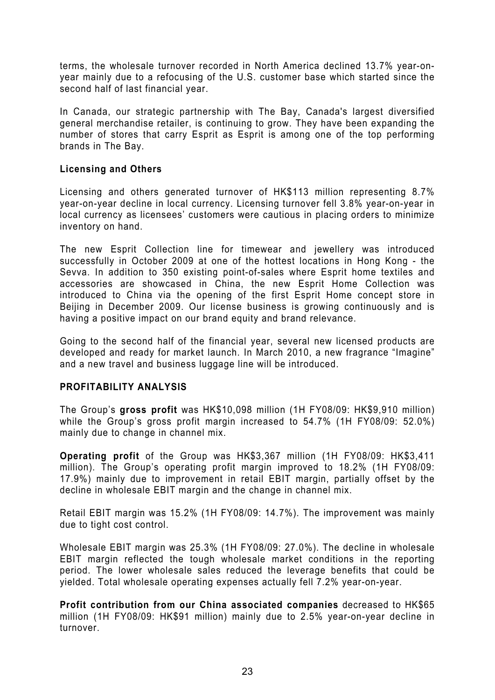terms, the wholesale turnover recorded in North America declined 13.7% year-onyear mainly due to a refocusing of the U.S. customer base which started since the second half of last financial year.

In Canada, our strategic partnership with The Bay, Canada's largest diversified general merchandise retailer, is continuing to grow. They have been expanding the number of stores that carry Esprit as Esprit is among one of the top performing brands in The Bay.

# **Licensing and Others**

Licensing and others generated turnover of HK\$113 million representing 8.7% year-on-year decline in local currency. Licensing turnover fell 3.8% year-on-year in local currency as licensees' customers were cautious in placing orders to minimize inventory on hand.

The new Esprit Collection line for timewear and jewellery was introduced successfully in October 2009 at one of the hottest locations in Hong Kong - the Sevva. In addition to 350 existing point-of-sales where Esprit home textiles and accessories are showcased in China, the new Esprit Home Collection was introduced to China via the opening of the first Esprit Home concept store in Beijing in December 2009. Our license business is growing continuously and is having a positive impact on our brand equity and brand relevance.

Going to the second half of the financial year, several new licensed products are developed and ready for market launch. In March 2010, a new fragrance "Imagine" and a new travel and business luggage line will be introduced.

# **PROFITABILITY ANALYSIS**

The Group's **gross profit** was HK\$10,098 million (1H FY08/09: HK\$9,910 million) while the Group's gross profit margin increased to 54.7% (1H FY08/09: 52.0%) mainly due to change in channel mix.

**Operating profit** of the Group was HK\$3,367 million (1H FY08/09: HK\$3,411 million). The Group's operating profit margin improved to 18.2% (1H FY08/09: 17.9%) mainly due to improvement in retail EBIT margin, partially offset by the decline in wholesale EBIT margin and the change in channel mix.

Retail EBIT margin was 15.2% (1H FY08/09: 14.7%). The improvement was mainly due to tight cost control.

Wholesale EBIT margin was 25.3% (1H FY08/09: 27.0%). The decline in wholesale EBIT margin reflected the tough wholesale market conditions in the reporting period. The lower wholesale sales reduced the leverage benefits that could be yielded. Total wholesale operating expenses actually fell 7.2% year-on-year.

**Profit contribution from our China associated companies** decreased to HK\$65 million (1H FY08/09: HK\$91 million) mainly due to 2.5% year-on-year decline in turnover.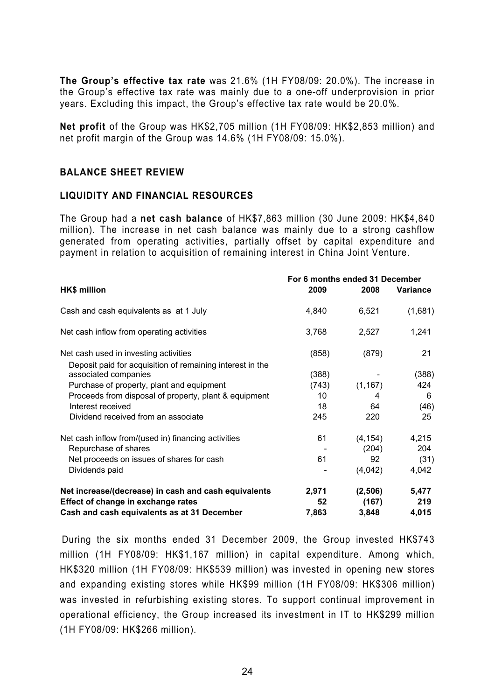**The Group's effective tax rate** was 21.6% (1H FY08/09: 20.0%). The increase in the Group's effective tax rate was mainly due to a one-off underprovision in prior years. Excluding this impact, the Group's effective tax rate would be 20.0%.

**Net profit** of the Group was HK\$2,705 million (1H FY08/09: HK\$2,853 million) and net profit margin of the Group was 14.6% (1H FY08/09: 15.0%).

# **BALANCE SHEET REVIEW**

#### **LIQUIDITY AND FINANCIAL RESOURCES**

The Group had a **net cash balance** of HK\$7,863 million (30 June 2009: HK\$4,840 million). The increase in net cash balance was mainly due to a strong cashflow generated from operating activities, partially offset by capital expenditure and payment in relation to acquisition of remaining interest in China Joint Venture.

|                                                                                   | For 6 months ended 31 December |          |                 |  |
|-----------------------------------------------------------------------------------|--------------------------------|----------|-----------------|--|
| <b>HK\$ million</b>                                                               | 2009                           | 2008     | <b>Variance</b> |  |
| Cash and cash equivalents as at 1 July                                            | 4,840                          | 6,521    | (1,681)         |  |
| Net cash inflow from operating activities                                         | 3,768                          | 2,527    | 1,241           |  |
| Net cash used in investing activities                                             | (858)                          | (879)    | 21              |  |
| Deposit paid for acquisition of remaining interest in the<br>associated companies | (388)                          |          | (388)           |  |
| Purchase of property, plant and equipment                                         | (743)                          | (1, 167) | 424             |  |
| Proceeds from disposal of property, plant & equipment                             | 10                             | 4        | 6               |  |
| Interest received                                                                 | 18                             | 64       | (46)            |  |
| Dividend received from an associate                                               | 245                            | 220      | 25              |  |
| Net cash inflow from/(used in) financing activities                               | 61                             | (4, 154) | 4,215           |  |
| Repurchase of shares                                                              |                                | (204)    | 204             |  |
| Net proceeds on issues of shares for cash                                         | 61                             | 92       | (31)            |  |
| Dividends paid                                                                    |                                | (4,042)  | 4,042           |  |
| Net increase/(decrease) in cash and cash equivalents                              | 2,971                          | (2,506)  | 5,477           |  |
| Effect of change in exchange rates                                                | 52                             | (167)    | 219             |  |
| Cash and cash equivalents as at 31 December                                       | 7,863                          | 3,848    | 4,015           |  |

During the six months ended 31 December 2009, the Group invested HK\$743 million (1H FY08/09: HK\$1,167 million) in capital expenditure. Among which, HK\$320 million (1H FY08/09: HK\$539 million) was invested in opening new stores and expanding existing stores while HK\$99 million (1H FY08/09: HK\$306 million) was invested in refurbishing existing stores. To support continual improvement in operational efficiency, the Group increased its investment in IT to HK\$299 million (1H FY08/09: HK\$266 million).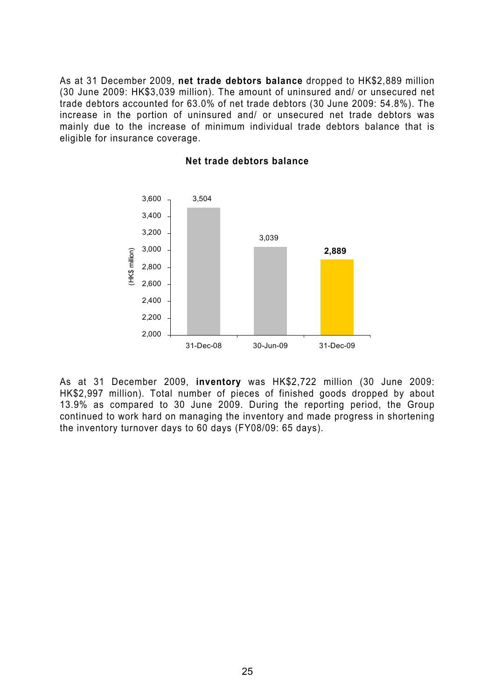As at 31 December 2009, **net trade debtors balance** dropped to HK\$2,889 million (30 June 2009: HK\$3,039 million). The amount of uninsured and/ or unsecured net trade debtors accounted for 63.0% of net trade debtors (30 June 2009: 54.8%). The increase in the portion of uninsured and/ or unsecured net trade debtors was mainly due to the increase of minimum individual trade debtors balance that is eligible for insurance coverage.



#### **Net trade debtors balance**

As at 31 December 2009, **inventory** was HK\$2,722 million (30 June 2009: HK\$2,997 million). Total number of pieces of finished goods dropped by about 13.9% as compared to 30 June 2009. During the reporting period, the Group continued to work hard on managing the inventory and made progress in shortening the inventory turnover days to 60 days (FY08/09: 65 days).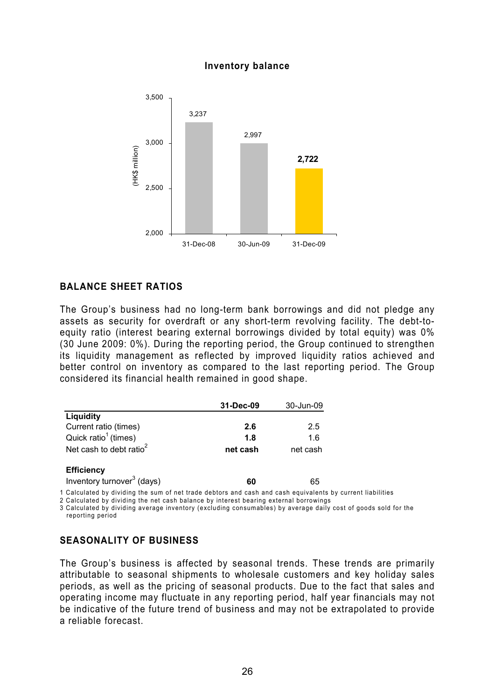#### **Inventory balance**



# **BALANCE SHEET RATIOS**

The Group's business had no long-term bank borrowings and did not pledge any assets as security for overdraft or any short-term revolving facility. The debt-toequity ratio (interest bearing external borrowings divided by total equity) was 0% (30 June 2009: 0%). During the reporting period, the Group continued to strengthen its liquidity management as reflected by improved liquidity ratios achieved and better control on inventory as compared to the last reporting period. The Group considered its financial health remained in good shape.

|                                     | 31-Dec-09 | 30-Jun-09 |
|-------------------------------------|-----------|-----------|
| Liquidity                           |           |           |
| Current ratio (times)               | 2.6       | 2.5       |
| Quick ratio <sup>1</sup> (times)    | 1.8       | 1.6       |
| Net cash to debt ratio <sup>2</sup> | net cash  | net cash  |
| <b>Efficiency</b>                   |           |           |

Inventory turnover<sup>3</sup> (days) **60** 65

1 Calculated by dividing the sum of net trade debtors and cash and cash equivalents by current liabilities

2 Calculated by dividing the net cash balance by interest bearing external borrowings

3 Calculated by dividing average inventory (excluding consumables) by average daily cost of goods sold for the reporting period

# **SEASONALITY OF BUSINESS**

The Group's business is affected by seasonal trends. These trends are primarily attributable to seasonal shipments to wholesale customers and key holiday sales periods, as well as the pricing of seasonal products. Due to the fact that sales and operating income may fluctuate in any reporting period, half year financials may not be indicative of the future trend of business and may not be extrapolated to provide a reliable forecast.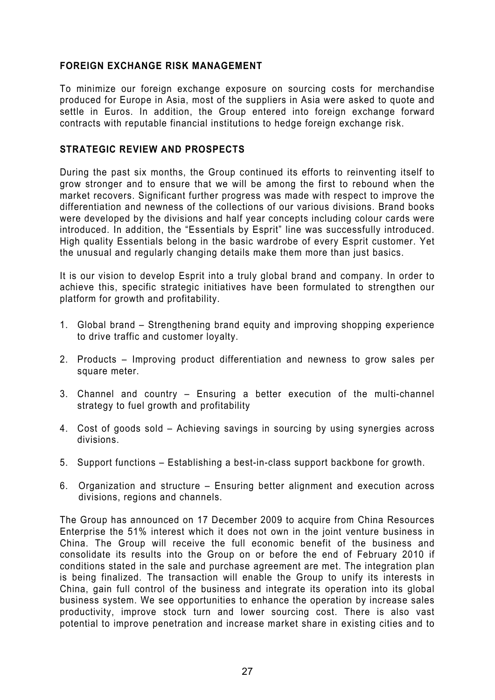# **FOREIGN EXCHANGE RISK MANAGEMENT**

To minimize our foreign exchange exposure on sourcing costs for merchandise produced for Europe in Asia, most of the suppliers in Asia were asked to quote and settle in Euros. In addition, the Group entered into foreign exchange forward contracts with reputable financial institutions to hedge foreign exchange risk.

# **STRATEGIC REVIEW AND PROSPECTS**

During the past six months, the Group continued its efforts to reinventing itself to grow stronger and to ensure that we will be among the first to rebound when the market recovers. Significant further progress was made with respect to improve the differentiation and newness of the collections of our various divisions. Brand books were developed by the divisions and half year concepts including colour cards were introduced. In addition, the "Essentials by Esprit" line was successfully introduced. High quality Essentials belong in the basic wardrobe of every Esprit customer. Yet the unusual and regularly changing details make them more than just basics.

It is our vision to develop Esprit into a truly global brand and company. In order to achieve this, specific strategic initiatives have been formulated to strengthen our platform for growth and profitability.

- 1. Global brand Strengthening brand equity and improving shopping experience to drive traffic and customer loyalty.
- 2. Products Improving product differentiation and newness to grow sales per square meter.
- 3. Channel and country Ensuring a better execution of the multi-channel strategy to fuel growth and profitability
- 4. Cost of goods sold Achieving savings in sourcing by using synergies across divisions.
- 5. Support functions Establishing a best-in-class support backbone for growth.
- 6. Organization and structure Ensuring better alignment and execution across divisions, regions and channels.

The Group has announced on 17 December 2009 to acquire from China Resources Enterprise the 51% interest which it does not own in the joint venture business in China. The Group will receive the full economic benefit of the business and consolidate its results into the Group on or before the end of February 2010 if conditions stated in the sale and purchase agreement are met. The integration plan is being finalized. The transaction will enable the Group to unify its interests in China, gain full control of the business and integrate its operation into its global business system. We see opportunities to enhance the operation by increase sales productivity, improve stock turn and lower sourcing cost. There is also vast potential to improve penetration and increase market share in existing cities and to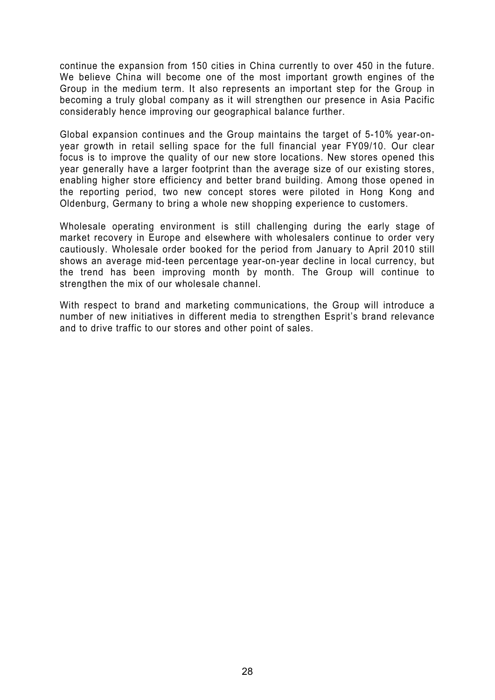continue the expansion from 150 cities in China currently to over 450 in the future. We believe China will become one of the most important growth engines of the Group in the medium term. It also represents an important step for the Group in becoming a truly global company as it will strengthen our presence in Asia Pacific considerably hence improving our geographical balance further.

Global expansion continues and the Group maintains the target of 5-10% year-onyear growth in retail selling space for the full financial year FY09/10. Our clear focus is to improve the quality of our new store locations. New stores opened this year generally have a larger footprint than the average size of our existing stores, enabling higher store efficiency and better brand building. Among those opened in the reporting period, two new concept stores were piloted in Hong Kong and Oldenburg, Germany to bring a whole new shopping experience to customers.

Wholesale operating environment is still challenging during the early stage of market recovery in Europe and elsewhere with wholesalers continue to order very cautiously. Wholesale order booked for the period from January to April 2010 still shows an average mid-teen percentage year-on-year decline in local currency, but the trend has been improving month by month. The Group will continue to strengthen the mix of our wholesale channel.

With respect to brand and marketing communications, the Group will introduce a number of new initiatives in different media to strengthen Esprit's brand relevance and to drive traffic to our stores and other point of sales.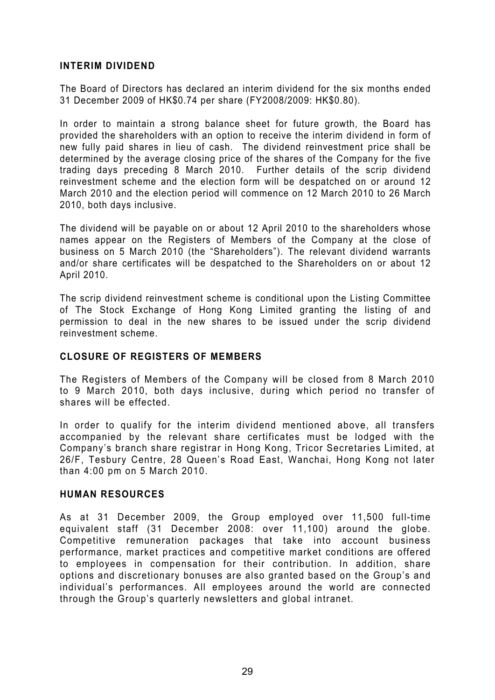# **INTERIM DIVIDEND**

The Board of Directors has declared an interim dividend for the six months ended 31 December 2009 of HK\$0.74 per share (FY2008/2009: HK\$0.80).

In order to maintain a strong balance sheet for future growth, the Board has provided the shareholders with an option to receive the interim dividend in form of new fully paid shares in lieu of cash. The dividend reinvestment price shall be determined by the average closing price of the shares of the Company for the five trading days preceding 8 March 2010. Further details of the scrip dividend reinvestment scheme and the election form will be despatched on or around 12 March 2010 and the election period will commence on 12 March 2010 to 26 March 2010, both days inclusive.

The dividend will be payable on or about 12 April 2010 to the shareholders whose names appear on the Registers of Members of the Company at the close of business on 5 March 2010 (the "Shareholders"). The relevant dividend warrants and/or share certificates will be despatched to the Shareholders on or about 12 April 2010.

The scrip dividend reinvestment scheme is conditional upon the Listing Committee of The Stock Exchange of Hong Kong Limited granting the listing of and permission to deal in the new shares to be issued under the scrip dividend reinvestment scheme.

# **CLOSURE OF REGISTERS OF MEMBERS**

The Registers of Members of the Company will be closed from 8 March 2010 to 9 March 2010, both days inclusive, during which period no transfer of shares will be effected.

In order to qualify for the interim dividend mentioned above, all transfers accompanied by the relevant share certificates must be lodged with the Company's branch share registrar in Hong Kong, Tricor Secretaries Limited, at 26/F, Tesbury Centre, 28 Queen's Road East, Wanchai, Hong Kong not later than 4:00 pm on 5 March 2010.

# **HUMAN RESOURCES**

As at 31 December 2009, the Group employed over 11,500 full-time equivalent staff (31 December 2008: over 11,100) around the globe. Competitive remuneration packages that take into account business performance, market practices and competitive market conditions are offered to employees in compensation for their contribution. In addition, share options and discretionary bonuses are also granted based on the Group's and individual's performances. All employees around the world are connected through the Group's quarterly newsletters and global intranet.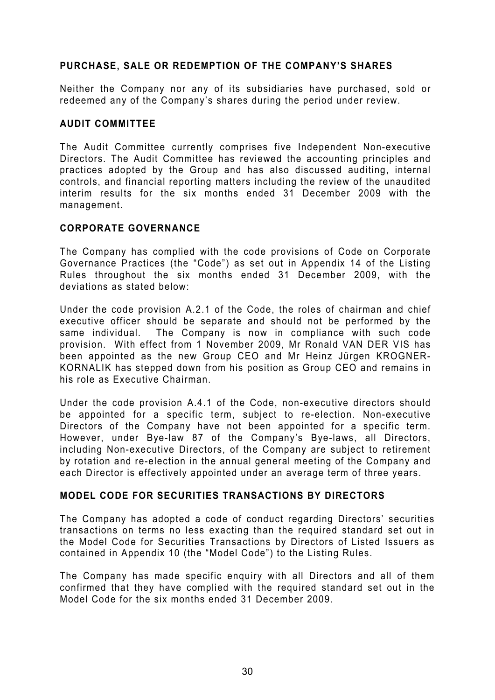# **PURCHASE, SALE OR REDEMPTION OF THE COMPANY'S SHARES**

Neither the Company nor any of its subsidiaries have purchased, sold or redeemed any of the Company's shares during the period under review.

# **AUDIT COMMITTEE**

The Audit Committee currently comprises five Independent Non-executive Directors. The Audit Committee has reviewed the accounting principles and practices adopted by the Group and has also discussed auditing, internal controls, and financial reporting matters including the review of the unaudited interim results for the six months ended 31 December 2009 with the management.

# **CORPORATE GOVERNANCE**

The Company has complied with the code provisions of Code on Corporate Governance Practices (the "Code") as set out in Appendix 14 of the Listing Rules throughout the six months ended 31 December 2009, with the deviations as stated below:

Under the code provision A.2.1 of the Code, the roles of chairman and chief executive officer should be separate and should not be performed by the same individual. The Company is now in compliance with such code provision. With effect from 1 November 2009, Mr Ronald VAN DER VIS has been appointed as the new Group CEO and Mr Heinz Jürgen KROGNER-KORNALIK has stepped down from his position as Group CEO and remains in his role as Executive Chairman.

Under the code provision A.4.1 of the Code, non-executive directors should be appointed for a specific term, subject to re-election. Non-executive Directors of the Company have not been appointed for a specific term. However, under Bye-law 87 of the Company's Bye-laws, all Directors, including Non-executive Directors, of the Company are subject to retirement by rotation and re-election in the annual general meeting of the Company and each Director is effectively appointed under an average term of three years.

# **MODEL CODE FOR SECURITIES TRANSACTIONS BY DIRECTORS**

The Company has adopted a code of conduct regarding Directors' securities transactions on terms no less exacting than the required standard set out in the Model Code for Securities Transactions by Directors of Listed Issuers as contained in Appendix 10 (the "Model Code") to the Listing Rules.

The Company has made specific enquiry with all Directors and all of them confirmed that they have complied with the required standard set out in the Model Code for the six months ended 31 December 2009.